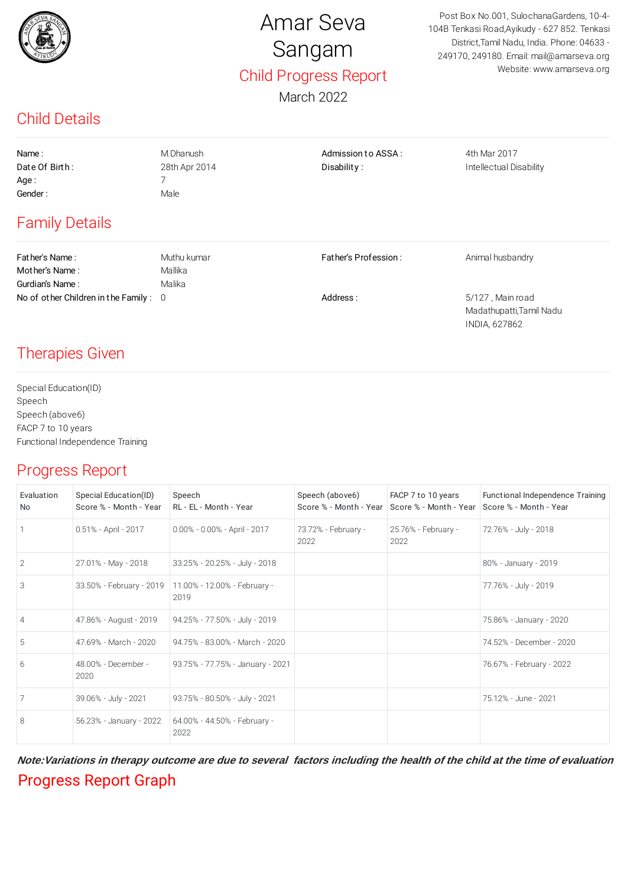

## Amar Seva Sangam Child Progress Report

March 2022

Post Box No.001, SulochanaGardens, 10-4- 104B Tenkasi Road,Ayikudy - 627 852. Tenkasi District,Tamil Nadu, India. Phone: 04633 - 249170, 249180. Email: mail@amarseva.org Website: www.amarseva.org

Madathupatti,Tamil Nadu

INDIA, 627862

## Child Details

| Name:                 | M.Dhanush     | Admission to ASSA:   | 4th Mar 2017            |
|-----------------------|---------------|----------------------|-------------------------|
| Date Of Birth:        | 28th Apr 2014 | Disability:          | Intellectual Disability |
| Age :                 |               |                      |                         |
| Gender:               | Male          |                      |                         |
| <b>Family Details</b> |               |                      |                         |
| Father's Name:        | Muthu kumar   | Father's Profession: | Animal husbandry        |
| Mother's Name:        | Mallika       |                      |                         |
| Gurdian's Name:       | Malika        |                      |                         |

No of other Children in the Family : 0 <br>
Address : 5/127, Main road

## Therapies Given

Special Education(ID) Speech Speech (above6) FACP 7 to 10 years Functional Independence Training

## Progress Report

| Evaluation<br>No | Special Education(ID)<br>Score % - Month - Year | Speech<br>RL - EL - Month - Year     | Speech (above6)<br>Score % - Month - Year | FACP 7 to 10 years<br>Score % - Month - Year | Functional Independence Training<br>Score % - Month - Year |
|------------------|-------------------------------------------------|--------------------------------------|-------------------------------------------|----------------------------------------------|------------------------------------------------------------|
|                  | 0.51% - April - 2017                            | $0.00\% - 0.00\% - April - 2017$     | 73.72% - February -<br>2022               | 25.76% - February -<br>2022                  | 72.76% - July - 2018                                       |
| $\overline{2}$   | 27.01% - May - 2018                             | 33.25% - 20.25% - July - 2018        |                                           |                                              | 80% - January - 2019                                       |
| 3                | 33.50% - February - 2019                        | 11.00% - 12.00% - February -<br>2019 |                                           |                                              | 77.76% - July - 2019                                       |
| $\overline{4}$   | 47.86% - August - 2019                          | 94.25% - 77.50% - July - 2019        |                                           |                                              | 75.86% - January - 2020                                    |
| 5                | 47.69% - March - 2020                           | 94.75% - 83.00% - March - 2020       |                                           |                                              | 74.52% - December - 2020                                   |
| 6                | 48.00% - December -<br>2020                     | 93.75% - 77.75% - January - 2021     |                                           |                                              | 76.67% - February - 2022                                   |
| 7                | 39.06% - July - 2021                            | 93.75% - 80.50% - July - 2021        |                                           |                                              | 75.12% - June - 2021                                       |
| 8                | 56.23% - January - 2022                         | 64.00% - 44.50% - February -<br>2022 |                                           |                                              |                                                            |

Progress Report Graph **Note:Variations in therapy outcome are due to several factors including the health of the child at the time of evaluation**